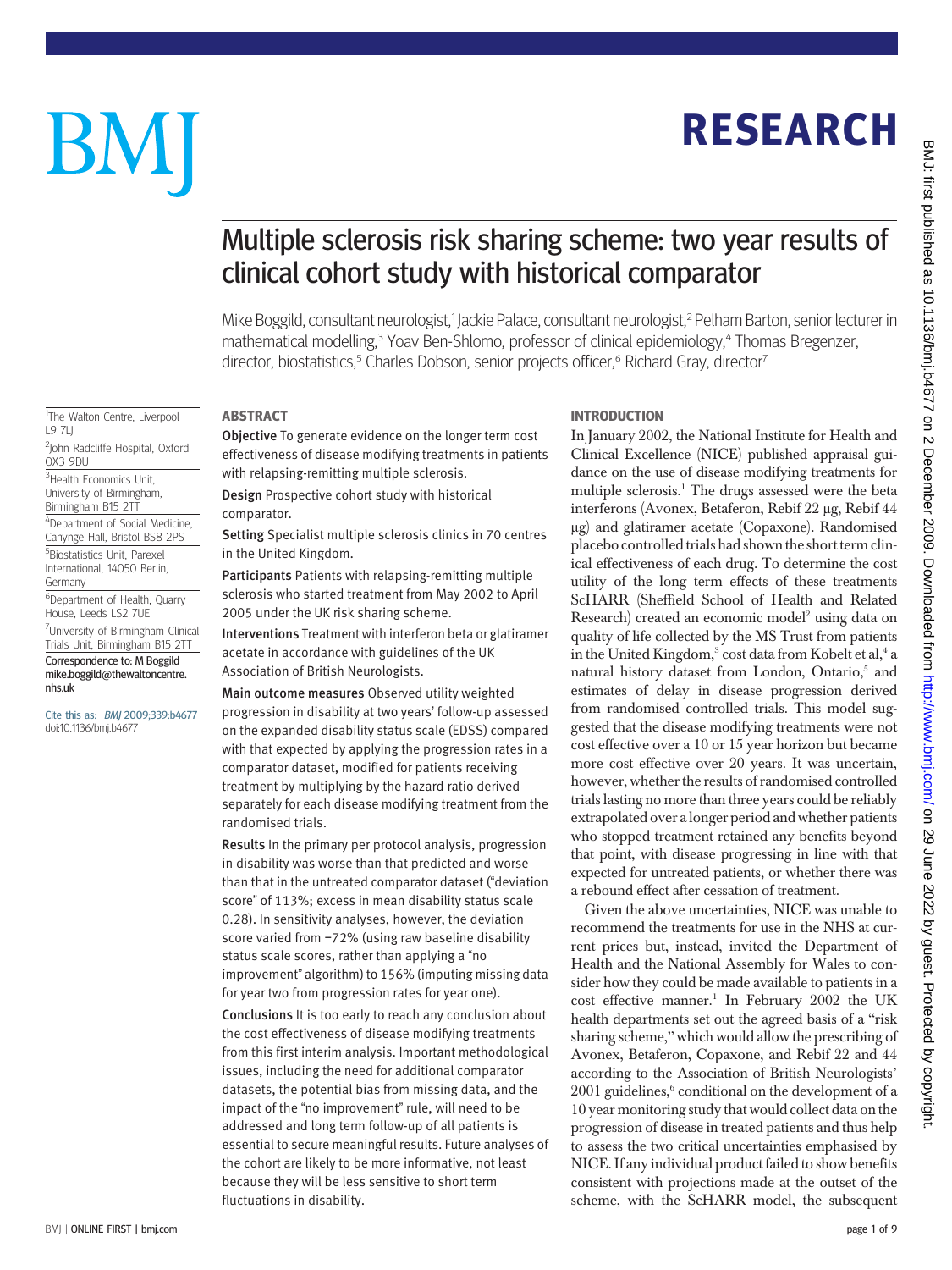# BM

# **RESEARCH** RESEARCH

# BMJ: first published as 10.1136/bmj.b4677 on 2 December 2009. ms, http://www.bay. Protected by detail protected by guest. Paraged as 19 June 2022 by guest. Philo 2022 Dyclished as 10:11369/bmj.b4677 on 2022 paracted by detail publisht. PMB Downloaded from http://www.bmj.com/ on 29 June 2022 by guest. Protected by copyright

# Multiple sclerosis risk sharing scheme: two year results of clinical cohort study with historical comparator

Mike Boggild, consultant neurologist,<sup>1</sup> Jackie Palace, consultant neurologist,<sup>2</sup> Pelham Barton, senior lecturer in mathematical modelling,<sup>3</sup> Yoav Ben-Shlomo, professor of clinical epidemiology,<sup>4</sup> Thomas Bregenzer, director, biostatistics,<sup>5</sup> Charles Dobson, senior projects officer,<sup>6</sup> Richard Gray, director<sup>7</sup>

**ABSTRACT** 

-----------<br>Objective To generate evidence on the longer term cost effectiveness of disease modifying treatments in patients with relapsing-remitting multiple sclerosis.

Design Prospective cohort study with historical comparator.

Setting Specialist multiple sclerosis clinics in 70 centres in the United Kingdom.

Participants Patients with relapsing-remitting multiple sclerosis who started treatment from May 2002 to April 2005 under the UK risk sharing scheme.

Interventions Treatment with interferon beta or glatiramer acetate in accordance with guidelines of the UK Association of British Neurologists.

Main outcome measures Observed utility weighted progression in disability at two years' follow-up assessed on the expanded disability status scale (EDSS) compared with that expected by applying the progression rates in a comparator dataset, modified for patients receiving treatment by multiplying by the hazard ratio derived separately for each disease modifying treatment from the randomised trials.

Results In the primary per protocol analysis, progression in disability was worse than that predicted and worse than that in the untreated comparator dataset ("deviation score" of 113%; excess in mean disability status scale 0.28). In sensitivity analyses, however, the deviation score varied from −72% (using raw baseline disability status scale scores, rather than applying a "no improvement" algorithm) to 156% (imputing missing data for year two from progression rates for year one).

Conclusions It is too early to reach any conclusion about the cost effectiveness of disease modifying treatments from this first interim analysis. Important methodological issues, including the need for additional comparator datasets, the potential bias from missing data, and the impact of the "no improvement" rule, will need to be addressed and long term follow-up of all patients is essential to secure meaningful results. Future analyses of the cohort are likely to be more informative, not least because they will be less sensitive to short term fluctuations in disability.

## **INTRODUCTION**

In January 2002, the National Institute for Health and Clinical Excellence (NICE) published appraisal guidance on the use of disease modifying treatments for multiple sclerosis.<sup>1</sup> The drugs assessed were the beta interferons (Avonex, Betaferon, Rebif 22 μg, Rebif 44 μg) and glatiramer acetate (Copaxone). Randomised placebo controlled trials had shown the short term clinical effectiveness of each drug. To determine the cost utility of the long term effects of these treatments ScHARR (Sheffield School of Health and Related Research) created an economic model<sup>2</sup> using data on quality of life collected by the MS Trust from patients in the United Kingdom, $3$  cost data from Kobelt et al, $4$  a natural history dataset from London, Ontario,<sup>5</sup> and estimates of delay in disease progression derived from randomised controlled trials. This model suggested that the disease modifying treatments were not cost effective over a 10 or 15 year horizon but became more cost effective over 20 years. It was uncertain, however, whether the results of randomised controlled trials lasting no more than three years could be reliably extrapolated over a longer period and whether patients who stopped treatment retained any benefits beyond that point, with disease progressing in line with that expected for untreated patients, or whether there was a rebound effect after cessation of treatment.

Given the above uncertainties, NICE was unable to recommend the treatments for use in the NHS at current prices but, instead, invited the Department of Health and the National Assembly for Wales to consider how they could be made available to patients in a cost effective manner.<sup>1</sup> In February 2002 the UK health departments set out the agreed basis of a "risk sharing scheme," which would allow the prescribing of Avonex, Betaferon, Copaxone, and Rebif 22 and 44 according to the Association of British Neurologists'  $2001$  guidelines, $6$  conditional on the development of a 10 year monitoring study that would collect data on the progression of disease in treated patients and thus help to assess the two critical uncertainties emphasised by NICE. If any individual product failed to show benefits consistent with projections made at the outset of the scheme, with the ScHARR model, the subsequent

<sup>1</sup>The Walton Centre, Liverpool L9 7LJ 2 John Radcliffe Hospital, Oxford OX3 9DU <sup>3</sup>Health Economics Unit, University of Birmingham, Birmingham B15 2TT 4 Department of Social Medicine, Canynge Hall, Bristol BS8 2PS 5 Biostatistics Unit, Parexel International, 14050 Berlin, Germany 6 Department of Health, Quarry House, Leeds LS2 7UE <sup>7</sup>University of Birmingham Clinical Trials Unit, Birmingham B15 2TT Correspondence to: M Boggild mike.boggild@thewaltoncentre. nhs.uk

Cite this as: BMJ 2009;339:b4677 doi:10.1136/bmj.b4677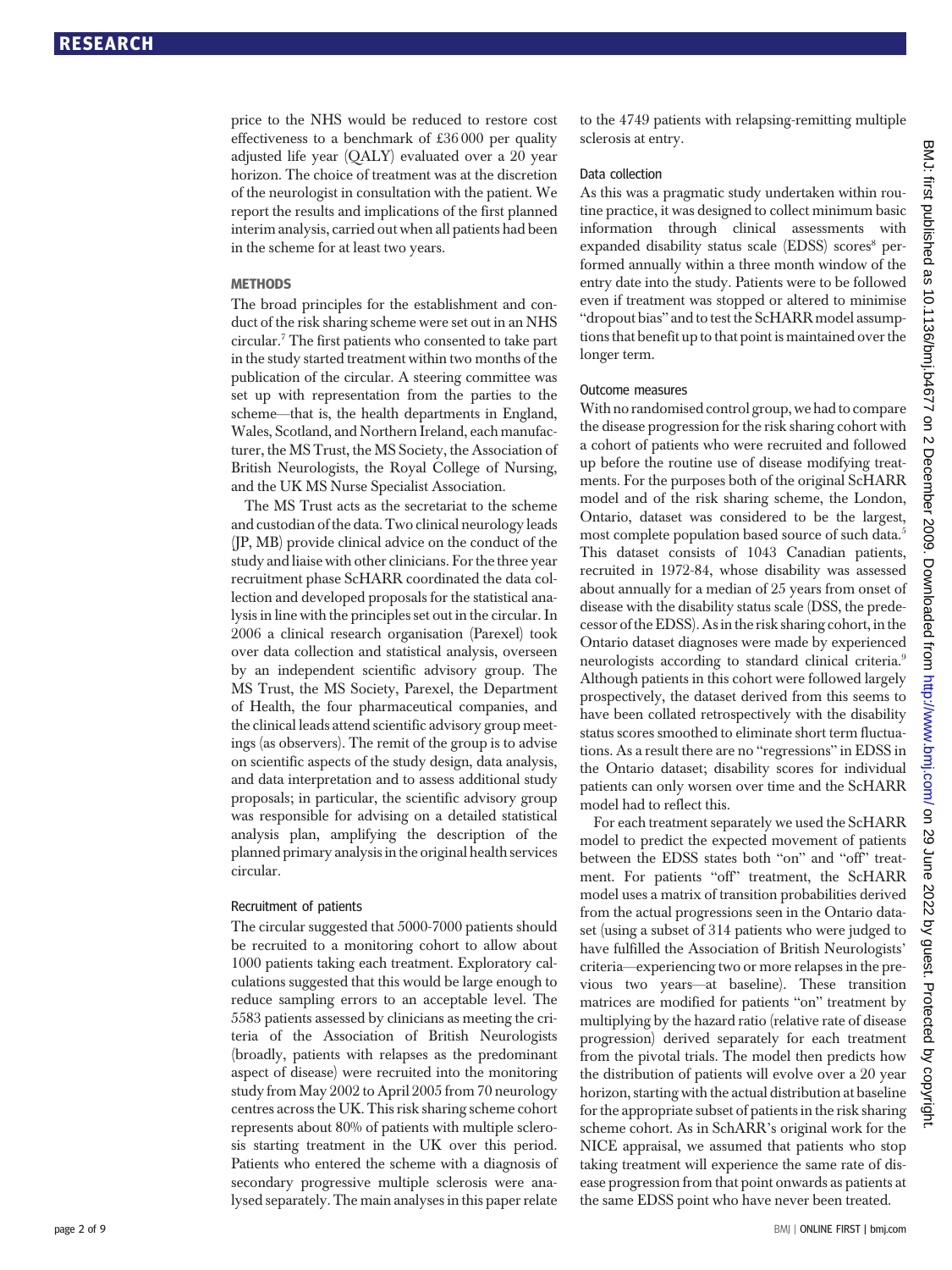price to the NHS would be reduced to restore cost effectiveness to a benchmark of £36 000 per quality adjusted life year (QALY) evaluated over a 20 year horizon. The choice of treatment was at the discretion of the neurologist in consultation with the patient. We report the results and implications of the first planned interim analysis, carried out when all patients had been in the scheme for at least two years.

### **METHODS**

The broad principles for the establishment and conduct of the risk sharing scheme were set out in an NHS circular.7 The first patients who consented to take part in the study started treatment within two months of the publication of the circular. A steering committee was set up with representation from the parties to the scheme—that is, the health departments in England, Wales, Scotland, and Northern Ireland, each manufacturer, the MS Trust, the MS Society, the Association of British Neurologists, the Royal College of Nursing, and the UK MS Nurse Specialist Association.

The MS Trust acts as the secretariat to the scheme and custodian of the data. Two clinical neurology leads (JP, MB) provide clinical advice on the conduct of the study and liaise with other clinicians. For the three year recruitment phase ScHARR coordinated the data collection and developed proposals for the statistical analysis in line with the principles set out in the circular. In 2006 a clinical research organisation (Parexel) took over data collection and statistical analysis, overseen by an independent scientific advisory group. The MS Trust, the MS Society, Parexel, the Department of Health, the four pharmaceutical companies, and the clinical leads attend scientific advisory group meetings (as observers). The remit of the group is to advise on scientific aspects of the study design, data analysis, and data interpretation and to assess additional study proposals; in particular, the scientific advisory group was responsible for advising on a detailed statistical analysis plan, amplifying the description of the planned primary analysis in the original health services circular.

### Recruitment of patients

The circular suggested that 5000-7000 patients should be recruited to a monitoring cohort to allow about 1000 patients taking each treatment. Exploratory calculations suggested that this would be large enough to reduce sampling errors to an acceptable level. The 5583 patients assessed by clinicians as meeting the criteria of the Association of British Neurologists (broadly, patients with relapses as the predominant aspect of disease) were recruited into the monitoring study from May 2002 to April 2005 from 70 neurology centres across the UK. This risk sharing scheme cohort represents about 80% of patients with multiple sclerosis starting treatment in the UK over this period. Patients who entered the scheme with a diagnosis of secondary progressive multiple sclerosis were analysed separately. The main analyses in this paper relate to the 4749 patients with relapsing-remitting multiple sclerosis at entry.

### Data collection

As this was a pragmatic study undertaken within routine practice, it was designed to collect minimum basic information through clinical assessments with expanded disability status scale (EDSS) scores<sup>8</sup> performed annually within a three month window of the entry date into the study. Patients were to be followed even if treatment was stopped or altered to minimise "dropout bias" and to test the ScHARR model assumptions that benefit up to that point is maintained over the longer term.

### Outcome measures

With no randomised control group, we had to compare the disease progression for the risk sharing cohort with a cohort of patients who were recruited and followed up before the routine use of disease modifying treatments. For the purposes both of the original ScHARR model and of the risk sharing scheme, the London, Ontario, dataset was considered to be the largest, most complete population based source of such data.<sup>5</sup> This dataset consists of 1043 Canadian patients, recruited in 1972-84, whose disability was assessed about annually for a median of 25 years from onset of disease with the disability status scale (DSS, the predecessor of the EDSS). As in the risk sharing cohort, in the Ontario dataset diagnoses were made by experienced neurologists according to standard clinical criteria.<sup>9</sup> Although patients in this cohort were followed largely prospectively, the dataset derived from this seems to have been collated retrospectively with the disability status scores smoothed to eliminate short term fluctuations. As a result there are no "regressions" in EDSS in the Ontario dataset; disability scores for individual patients can only worsen over time and the ScHARR model had to reflect this.

For each treatment separately we used the ScHARR model to predict the expected movement of patients between the EDSS states both "on" and "off" treatment. For patients "off" treatment, the ScHARR model uses a matrix of transition probabilities derived from the actual progressions seen in the Ontario dataset (using a subset of 314 patients who were judged to have fulfilled the Association of British Neurologists' criteria—experiencing two or more relapses in the previous two years—at baseline). These transition matrices are modified for patients "on" treatment by multiplying by the hazard ratio (relative rate of disease progression) derived separately for each treatment from the pivotal trials. The model then predicts how the distribution of patients will evolve over a 20 year horizon, starting with the actual distribution at baseline for the appropriate subset of patients in the risk sharing scheme cohort. As in SchARR's original work for the NICE appraisal, we assumed that patients who stop taking treatment will experience the same rate of disease progression from that point onwards as patients at the same EDSS point who have never been treated.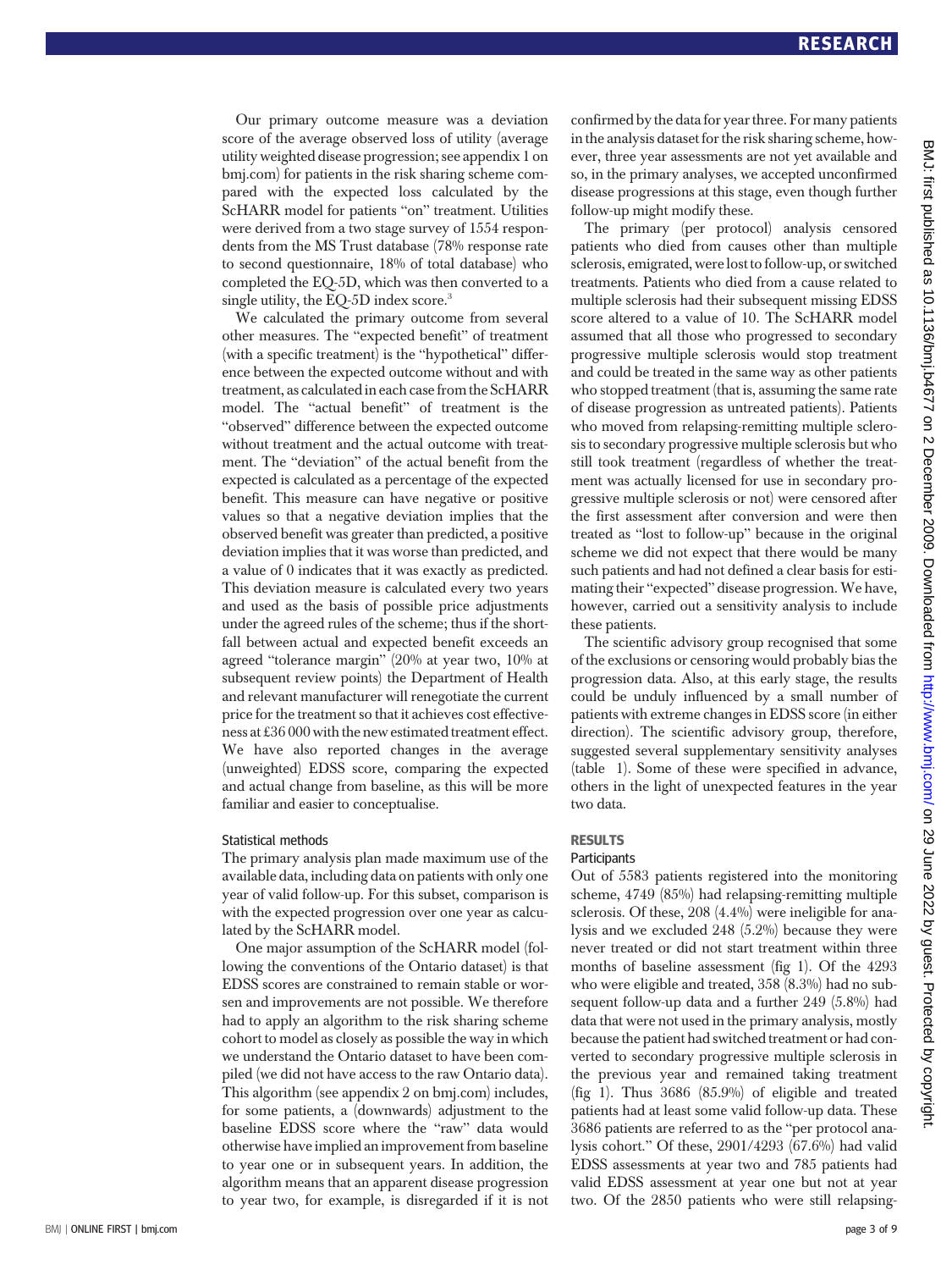Our primary outcome measure was a deviation score of the average observed loss of utility (average utility weighted disease progression; see appendix 1 on bmj.com) for patients in the risk sharing scheme compared with the expected loss calculated by the ScHARR model for patients "on" treatment. Utilities were derived from a two stage survey of 1554 respondents from the MS Trust database (78% response rate to second questionnaire, 18% of total database) who completed the EQ-5D, which was then converted to a single utility, the EO-5D index score.<sup>3</sup>

We calculated the primary outcome from several other measures. The "expected benefit" of treatment (with a specific treatment) is the "hypothetical" difference between the expected outcome without and with treatment, as calculated in each case from the ScHARR model. The "actual benefit" of treatment is the "observed" difference between the expected outcome without treatment and the actual outcome with treatment. The "deviation" of the actual benefit from the expected is calculated as a percentage of the expected benefit. This measure can have negative or positive values so that a negative deviation implies that the observed benefit was greater than predicted, a positive deviation implies that it was worse than predicted, and a value of 0 indicates that it was exactly as predicted. This deviation measure is calculated every two years and used as the basis of possible price adjustments under the agreed rules of the scheme; thus if the shortfall between actual and expected benefit exceeds an agreed "tolerance margin" (20% at year two, 10% at subsequent review points) the Department of Health and relevant manufacturer will renegotiate the current price for the treatment so that it achieves cost effectiveness at £36 000 with the new estimated treatment effect. We have also reported changes in the average (unweighted) EDSS score, comparing the expected and actual change from baseline, as this will be more familiar and easier to conceptualise.

### Statistical methods

The primary analysis plan made maximum use of the available data, including data on patients with only one year of valid follow-up. For this subset, comparison is with the expected progression over one year as calculated by the ScHARR model.

One major assumption of the ScHARR model (following the conventions of the Ontario dataset) is that EDSS scores are constrained to remain stable or worsen and improvements are not possible. We therefore had to apply an algorithm to the risk sharing scheme cohort to model as closely as possible the way in which we understand the Ontario dataset to have been compiled (we did not have access to the raw Ontario data). This algorithm (see appendix 2 on bmj.com) includes, for some patients, a (downwards) adjustment to the baseline EDSS score where the "raw" data would otherwise have implied an improvement from baseline to year one or in subsequent years. In addition, the algorithm means that an apparent disease progression to year two, for example, is disregarded if it is not confirmed by the data for year three. For many patients in the analysis dataset for the risk sharing scheme, however, three year assessments are not yet available and so, in the primary analyses, we accepted unconfirmed disease progressions at this stage, even though further follow-up might modify these.

The primary (per protocol) analysis censored patients who died from causes other than multiple sclerosis, emigrated, were lost to follow-up, or switched treatments. Patients who died from a cause related to multiple sclerosis had their subsequent missing EDSS score altered to a value of 10. The ScHARR model assumed that all those who progressed to secondary progressive multiple sclerosis would stop treatment and could be treated in the same way as other patients who stopped treatment (that is, assuming the same rate of disease progression as untreated patients). Patients who moved from relapsing-remitting multiple sclerosis to secondary progressive multiple sclerosis but who still took treatment (regardless of whether the treatment was actually licensed for use in secondary progressive multiple sclerosis or not) were censored after the first assessment after conversion and were then treated as "lost to follow-up" because in the original scheme we did not expect that there would be many such patients and had not defined a clear basis for estimating their "expected" disease progression. We have, however, carried out a sensitivity analysis to include these patients.

The scientific advisory group recognised that some of the exclusions or censoring would probably bias the progression data. Also, at this early stage, the results could be unduly influenced by a small number of patients with extreme changes in EDSS score (in either direction). The scientific advisory group, therefore, suggested several supplementary sensitivity analyses (table 1). Some of these were specified in advance, others in the light of unexpected features in the year two data.

# Participants

Out of 5583 patients registered into the monitoring scheme, 4749 (85%) had relapsing-remitting multiple sclerosis. Of these, 208 (4.4%) were ineligible for analysis and we excluded 248 (5.2%) because they were never treated or did not start treatment within three months of baseline assessment (fig 1). Of the 4293 who were eligible and treated, 358 (8.3%) had no subsequent follow-up data and a further 249 (5.8%) had data that were not used in the primary analysis, mostly because the patient had switched treatment or had converted to secondary progressive multiple sclerosis in the previous year and remained taking treatment (fig 1). Thus 3686 (85.9%) of eligible and treated patients had at least some valid follow-up data. These 3686 patients are referred to as the "per protocol analysis cohort." Of these, 2901/4293 (67.6%) had valid EDSS assessments at year two and 785 patients had valid EDSS assessment at year one but not at year two. Of the 2850 patients who were still relapsing-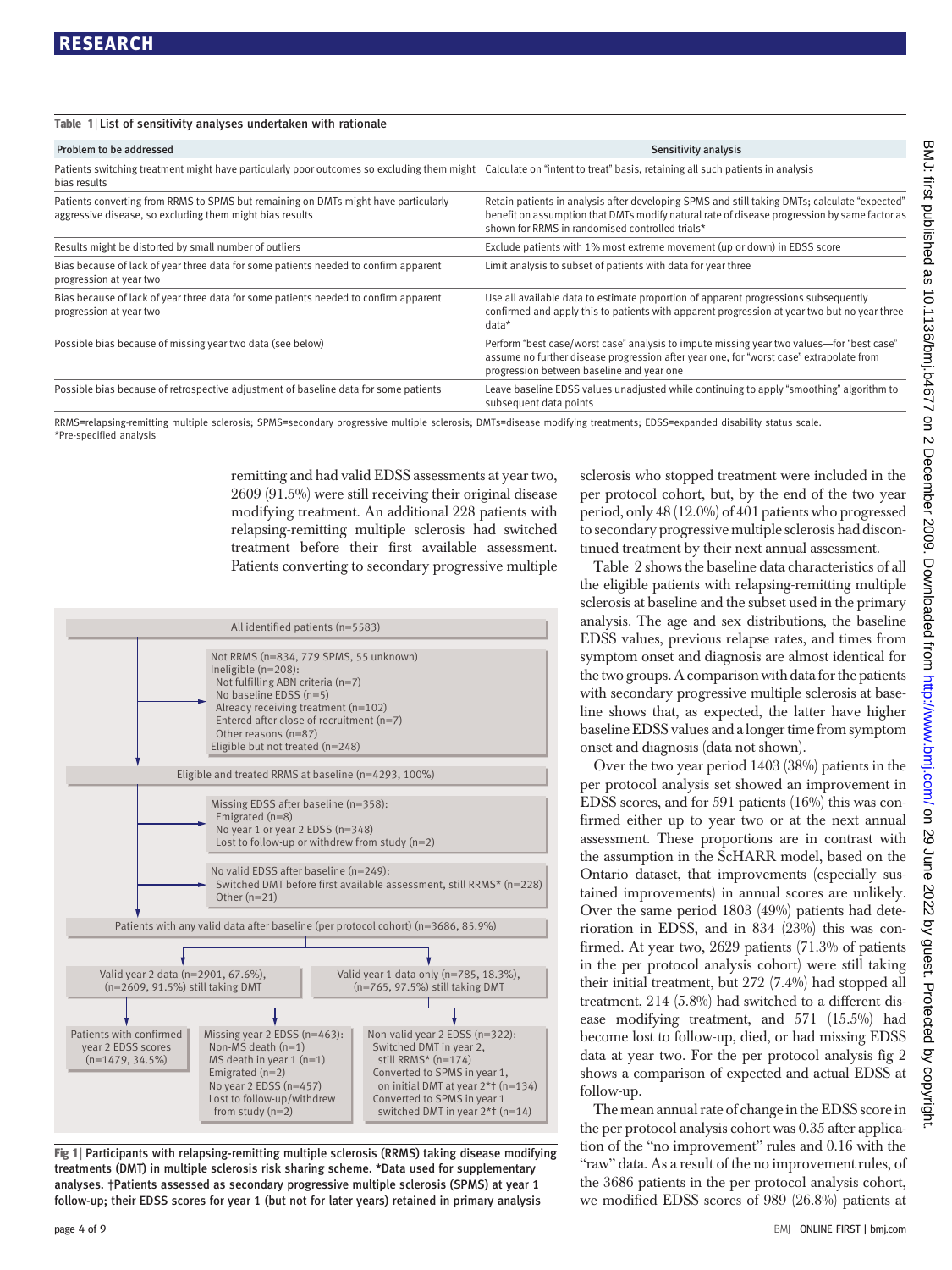### Table 1 | List of sensitivity analyses undertaken with rationale

| Problem to be addressed                                                                                                                                                                  | Sensitivity analysis                                                                                                                                                                                                                             |  |  |
|------------------------------------------------------------------------------------------------------------------------------------------------------------------------------------------|--------------------------------------------------------------------------------------------------------------------------------------------------------------------------------------------------------------------------------------------------|--|--|
| Patients switching treatment might have particularly poor outcomes so excluding them might Calculate on "intent to treat" basis, retaining all such patients in analysis<br>bias results |                                                                                                                                                                                                                                                  |  |  |
| Patients converting from RRMS to SPMS but remaining on DMTs might have particularly<br>aggressive disease, so excluding them might bias results                                          | Retain patients in analysis after developing SPMS and still taking DMTs; calculate "expected"<br>benefit on assumption that DMTs modify natural rate of disease progression by same factor as<br>shown for RRMS in randomised controlled trials* |  |  |
| Results might be distorted by small number of outliers                                                                                                                                   | Exclude patients with 1% most extreme movement (up or down) in EDSS score                                                                                                                                                                        |  |  |
| Bias because of lack of year three data for some patients needed to confirm apparent<br>progression at year two                                                                          | Limit analysis to subset of patients with data for year three                                                                                                                                                                                    |  |  |
| Bias because of lack of year three data for some patients needed to confirm apparent<br>progression at year two                                                                          | Use all available data to estimate proportion of apparent progressions subsequently<br>confirmed and apply this to patients with apparent progression at year two but no year three<br>data*                                                     |  |  |
| Possible bias because of missing year two data (see below)                                                                                                                               | Perform "best case/worst case" analysis to impute missing year two values—for "best case"<br>assume no further disease progression after year one, for "worst case" extrapolate from<br>progression between baseline and year one                |  |  |
| Possible bias because of retrospective adjustment of baseline data for some patients                                                                                                     | Leave baseline EDSS values unadjusted while continuing to apply "smoothing" algorithm to<br>subsequent data points                                                                                                                               |  |  |
| RRMS=relapsing-remitting multiple sclerosis; SPMS=secondary progressive multiple sclerosis; DMTs=disease modifying treatments; EDSS=expanded disability status scale.                    |                                                                                                                                                                                                                                                  |  |  |

\*Pre-specified analysis

remitting and had valid EDSS assessments at year two, 2609 (91.5%) were still receiving their original disease modifying treatment. An additional 228 patients with relapsing-remitting multiple sclerosis had switched treatment before their first available assessment. Patients converting to secondary progressive multiple



Fig 1 | Participants with relapsing-remitting multiple sclerosis (RRMS) taking disease modifying treatments (DMT) in multiple sclerosis risk sharing scheme. \*Data used for supplementary analyses. †Patients assessed as secondary progressive multiple sclerosis (SPMS) at year 1 follow-up; their EDSS scores for year 1 (but not for later years) retained in primary analysis

sclerosis who stopped treatment were included in the per protocol cohort, but, by the end of the two year period, only 48 (12.0%) of 401 patients who progressed to secondary progressive multiple sclerosis had discontinued treatment by their next annual assessment.

Table 2 shows the baseline data characteristics of all the eligible patients with relapsing-remitting multiple sclerosis at baseline and the subset used in the primary analysis. The age and sex distributions, the baseline EDSS values, previous relapse rates, and times from symptom onset and diagnosis are almost identical for the two groups. A comparison with data for the patients with secondary progressive multiple sclerosis at baseline shows that, as expected, the latter have higher baseline EDSS values and a longer time from symptom onset and diagnosis (data not shown).

Over the two year period 1403 (38%) patients in the per protocol analysis set showed an improvement in EDSS scores, and for 591 patients (16%) this was confirmed either up to year two or at the next annual assessment. These proportions are in contrast with the assumption in the ScHARR model, based on the Ontario dataset, that improvements (especially sustained improvements) in annual scores are unlikely. Over the same period 1803 (49%) patients had deterioration in EDSS, and in 834 (23%) this was confirmed. At year two, 2629 patients (71.3% of patients in the per protocol analysis cohort) were still taking their initial treatment, but 272 (7.4%) had stopped all treatment, 214 (5.8%) had switched to a different disease modifying treatment, and 571 (15.5%) had become lost to follow-up, died, or had missing EDSS data at year two. For the per protocol analysis fig 2 shows a comparison of expected and actual EDSS at follow-up.

The mean annual rate of change in the EDSS score in the per protocol analysis cohort was 0.35 after application of the "no improvement" rules and 0.16 with the "raw" data. As a result of the no improvement rules, of the 3686 patients in the per protocol analysis cohort, we modified EDSS scores of 989 (26.8%) patients at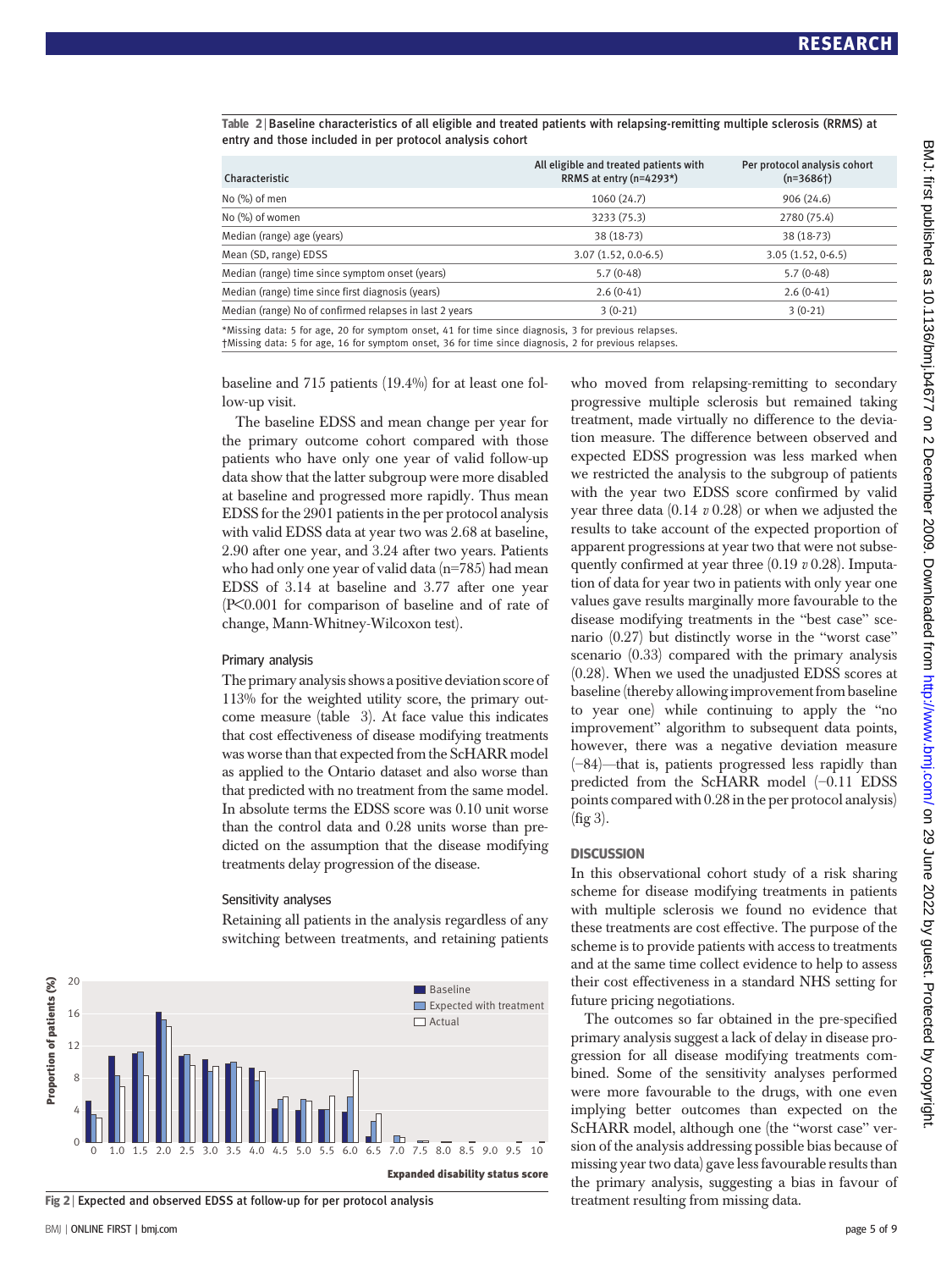| Characteristic                                                                                                                                                                                                 | All eligible and treated patients with<br>RRMS at entry $(n=4293*)$ | Per protocol analysis cohort<br>$(n=3686+)$ |
|----------------------------------------------------------------------------------------------------------------------------------------------------------------------------------------------------------------|---------------------------------------------------------------------|---------------------------------------------|
| No (%) of men                                                                                                                                                                                                  | 1060 (24.7)                                                         | 906(24.6)                                   |
| No (%) of women                                                                                                                                                                                                | 3233 (75.3)                                                         | 2780 (75.4)                                 |
| Median (range) age (years)                                                                                                                                                                                     | 38 (18-73)                                                          | 38 (18-73)                                  |
| Mean (SD, range) EDSS                                                                                                                                                                                          | 3.07(1.52, 0.0.6.5)                                                 | 3.05(1.52, 0.6.5)                           |
| Median (range) time since symptom onset (years)                                                                                                                                                                | $5.7(0-48)$                                                         | $5.7(0-48)$                                 |
| Median (range) time since first diagnosis (years)                                                                                                                                                              | $2.6(0-41)$                                                         | $2.6(0-41)$                                 |
| Median (range) No of confirmed relapses in last 2 years                                                                                                                                                        | $3(0-21)$                                                           | $3(0-21)$                                   |
| *Missing data: 5 for age, 20 for symptom onset, 41 for time since diagnosis, 3 for previous relapses.<br>†Missing data: 5 for age, 16 for symptom onset, 36 for time since diagnosis, 2 for previous relapses. |                                                                     |                                             |

Table 2 <sup>|</sup> Baseline characteristics of all eligible and treated patients with relapsing-remitting multiple sclerosis (RRMS) at entry and those included in per protocol analysis cohort

baseline and 715 patients (19.4%) for at least one follow-up visit.

The baseline EDSS and mean change per year for the primary outcome cohort compared with those patients who have only one year of valid follow-up data show that the latter subgroup were more disabled at baseline and progressed more rapidly. Thus mean EDSS for the 2901 patients in the per protocol analysis with valid EDSS data at year two was 2.68 at baseline, 2.90 after one year, and 3.24 after two years. Patients who had only one year of valid data (n=785) had mean EDSS of 3.14 at baseline and 3.77 after one year (P<0.001 for comparison of baseline and of rate of change, Mann-Whitney-Wilcoxon test).

### Primary analysis

The primary analysis shows a positive deviation score of 113% for the weighted utility score, the primary outcome measure (table 3). At face value this indicates that cost effectiveness of disease modifying treatments was worse than that expected from the ScHARR model as applied to the Ontario dataset and also worse than that predicted with no treatment from the same model. In absolute terms the EDSS score was 0.10 unit worse than the control data and 0.28 units worse than predicted on the assumption that the disease modifying treatments delay progression of the disease.

### Sensitivity analyses

Retaining all patients in the analysis regardless of any switching between treatments, and retaining patients



Fig 2 | Expected and observed EDSS at follow-up for per protocol analysis

who moved from relapsing-remitting to secondary progressive multiple sclerosis but remained taking treatment, made virtually no difference to the deviation measure. The difference between observed and expected EDSS progression was less marked when we restricted the analysis to the subgroup of patients with the year two EDSS score confirmed by valid year three data  $(0.14 v 0.28)$  or when we adjusted the results to take account of the expected proportion of apparent progressions at year two that were not subsequently confirmed at year three  $(0.19 v 0.28)$ . Imputation of data for year two in patients with only year one values gave results marginally more favourable to the disease modifying treatments in the "best case" scenario (0.27) but distinctly worse in the "worst case" scenario (0.33) compared with the primary analysis (0.28). When we used the unadjusted EDSS scores at baseline (thereby allowing improvement from baseline to year one) while continuing to apply the "no improvement" algorithm to subsequent data points, however, there was a negative deviation measure (−84)—that is, patients progressed less rapidly than predicted from the ScHARR model (−0.11 EDSS points compared with 0.28 in the per protocol analysis) (fig 3).

In this observational cohort study of a risk sharing scheme for disease modifying treatments in patients with multiple sclerosis we found no evidence that these treatments are cost effective. The purpose of the scheme is to provide patients with access to treatments and at the same time collect evidence to help to assess their cost effectiveness in a standard NHS setting for future pricing negotiations.

The outcomes so far obtained in the pre-specified primary analysis suggest a lack of delay in disease progression for all disease modifying treatments combined. Some of the sensitivity analyses performed were more favourable to the drugs, with one even implying better outcomes than expected on the ScHARR model, although one (the "worst case" version of the analysis addressing possible bias because of missing year two data) gave less favourable results than the primary analysis, suggesting a bias in favour of treatment resulting from missing data.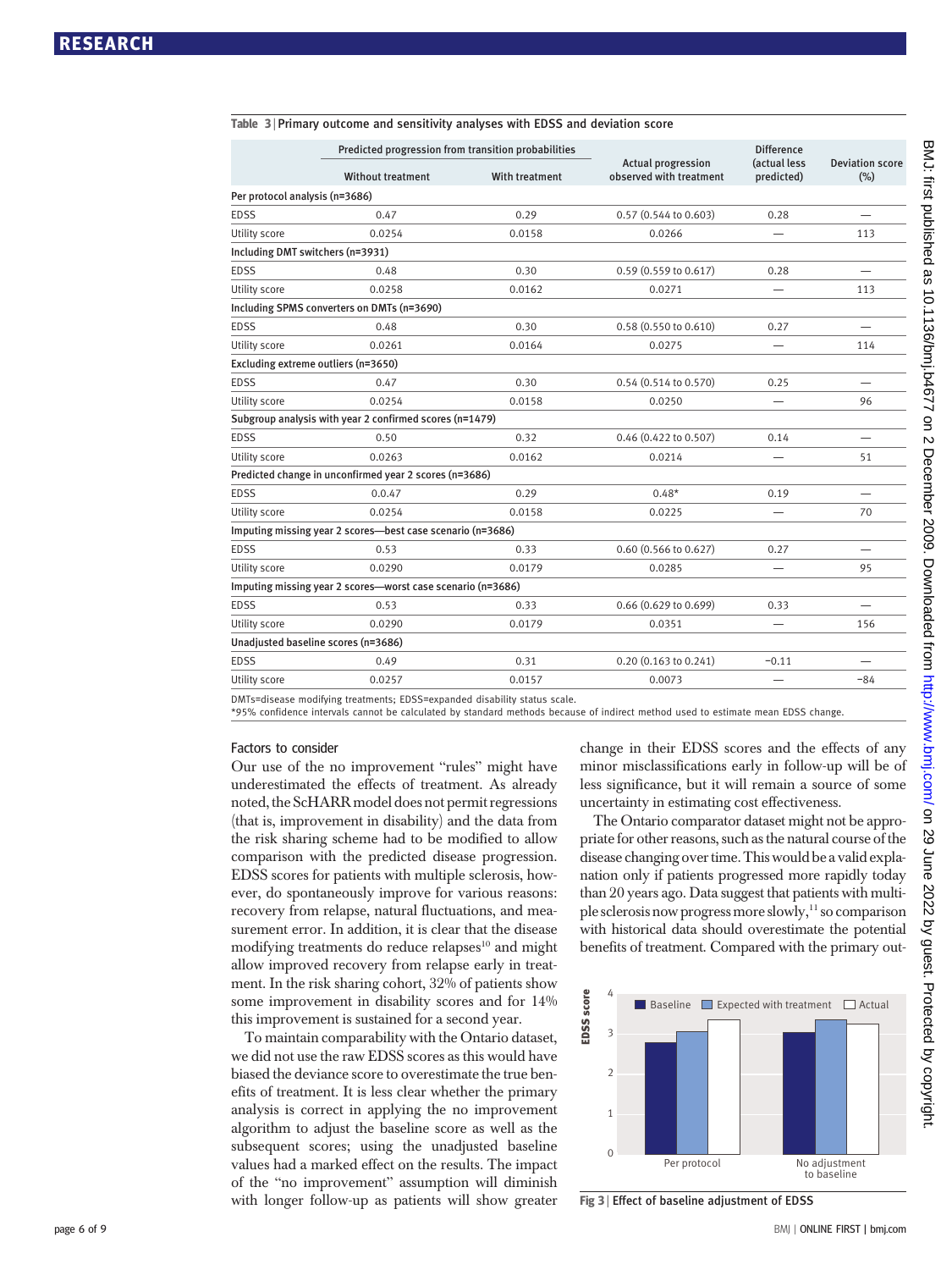|                                  | Predicted progression from transition probabilities         |                       | <b>Actual progression</b> | <b>Difference</b><br>(actual less | <b>Deviation score</b> |
|----------------------------------|-------------------------------------------------------------|-----------------------|---------------------------|-----------------------------------|------------------------|
|                                  | <b>Without treatment</b>                                    | <b>With treatment</b> | observed with treatment   | predicted)                        | $(\%)$                 |
| Per protocol analysis (n=3686)   |                                                             |                       |                           |                                   |                        |
| <b>EDSS</b>                      | 0.47                                                        | 0.29                  | 0.57 (0.544 to 0.603)     | 0.28                              |                        |
| Utility score                    | 0.0254                                                      | 0.0158                | 0.0266                    |                                   | 113                    |
| Including DMT switchers (n=3931) |                                                             |                       |                           |                                   |                        |
| <b>EDSS</b>                      | 0.48                                                        | 0.30                  | $0.59$ (0.559 to 0.617)   | 0.28                              |                        |
| Utility score                    | 0.0258                                                      | 0.0162                | 0.0271                    |                                   | 113                    |
|                                  | Including SPMS converters on DMTs (n=3690)                  |                       |                           |                                   |                        |
| <b>EDSS</b>                      | 0.48                                                        | 0.30                  | 0.58 (0.550 to 0.610)     | 0.27                              |                        |
| Utility score                    | 0.0261                                                      | 0.0164                | 0.0275                    |                                   | 114                    |
|                                  | Excluding extreme outliers (n=3650)                         |                       |                           |                                   |                        |
| <b>EDSS</b>                      | 0.47                                                        | 0.30                  | 0.54 (0.514 to 0.570)     | 0.25                              |                        |
| Utility score                    | 0.0254                                                      | 0.0158                | 0.0250                    |                                   | 96                     |
|                                  | Subgroup analysis with year 2 confirmed scores (n=1479)     |                       |                           |                                   |                        |
| <b>EDSS</b>                      | 0.50                                                        | 0.32                  | 0.46 (0.422 to 0.507)     | 0.14                              |                        |
| Utility score                    | 0.0263                                                      | 0.0162                | 0.0214                    |                                   | 51                     |
|                                  | Predicted change in unconfirmed year 2 scores (n=3686)      |                       |                           |                                   |                        |
| <b>EDSS</b>                      | 0.0.47                                                      | 0.29                  | $0.48*$                   | 0.19                              | -                      |
| Utility score                    | 0.0254                                                      | 0.0158                | 0.0225                    |                                   | 70                     |
|                                  | Imputing missing year 2 scores-best case scenario (n=3686)  |                       |                           |                                   |                        |
| <b>EDSS</b>                      | 0.53                                                        | 0.33                  | 0.60 (0.566 to 0.627)     | 0.27                              |                        |
| Utility score                    | 0.0290                                                      | 0.0179                | 0.0285                    |                                   | 95                     |
|                                  | Imputing missing year 2 scores-worst case scenario (n=3686) |                       |                           |                                   |                        |
| <b>EDSS</b>                      | 0.53                                                        | 0.33                  | 0.66 (0.629 to 0.699)     | 0.33                              |                        |
| Utility score                    | 0.0290                                                      | 0.0179                | 0.0351                    |                                   | 156                    |
|                                  | Unadjusted baseline scores (n=3686)                         |                       |                           |                                   |                        |
| <b>EDSS</b>                      | 0.49                                                        | 0.31                  | 0.20 (0.163 to 0.241)     | $-0.11$                           |                        |
| Utility score                    | 0.0257                                                      | 0.0157                | 0.0073                    |                                   | $-84$                  |
|                                  |                                                             |                       |                           |                                   |                        |

### Table 3 <sup>|</sup> Primary outcome and sensitivity analyses with EDSS and deviation score

DMTs=disease modifying treatments; EDSS=expanded disability status scale.

\*95% confidence intervals cannot be calculated by standard methods because of indirect method used to estimate mean EDSS change.

### Factors to consider

Our use of the no improvement "rules" might have underestimated the effects of treatment. As already noted, the ScHARR model does not permit regressions (that is, improvement in disability) and the data from the risk sharing scheme had to be modified to allow comparison with the predicted disease progression. EDSS scores for patients with multiple sclerosis, however, do spontaneously improve for various reasons: recovery from relapse, natural fluctuations, and measurement error. In addition, it is clear that the disease modifying treatments do reduce relapses<sup>10</sup> and might allow improved recovery from relapse early in treatment. In the risk sharing cohort, 32% of patients show some improvement in disability scores and for 14% this improvement is sustained for a second year.

To maintain comparability with the Ontario dataset, we did not use the raw EDSS scores as this would have biased the deviance score to overestimate the true benefits of treatment. It is less clear whether the primary analysis is correct in applying the no improvement algorithm to adjust the baseline score as well as the subsequent scores; using the unadjusted baseline values had a marked effect on the results. The impact of the "no improvement" assumption will diminish with longer follow-up as patients will show greater change in their EDSS scores and the effects of any minor misclassifications early in follow-up will be of less significance, but it will remain a source of some uncertainty in estimating cost effectiveness.

The Ontario comparator dataset might not be appropriate for other reasons, such as the natural course of the disease changing over time. This would be a valid explanation only if patients progressed more rapidly today than 20 years ago. Data suggest that patients with multiple sclerosis now progress more slowly, $11$  so comparison with historical data should overestimate the potential benefits of treatment. Compared with the primary out-



Fig 3 <sup>|</sup> Effect of baseline adjustment of EDSS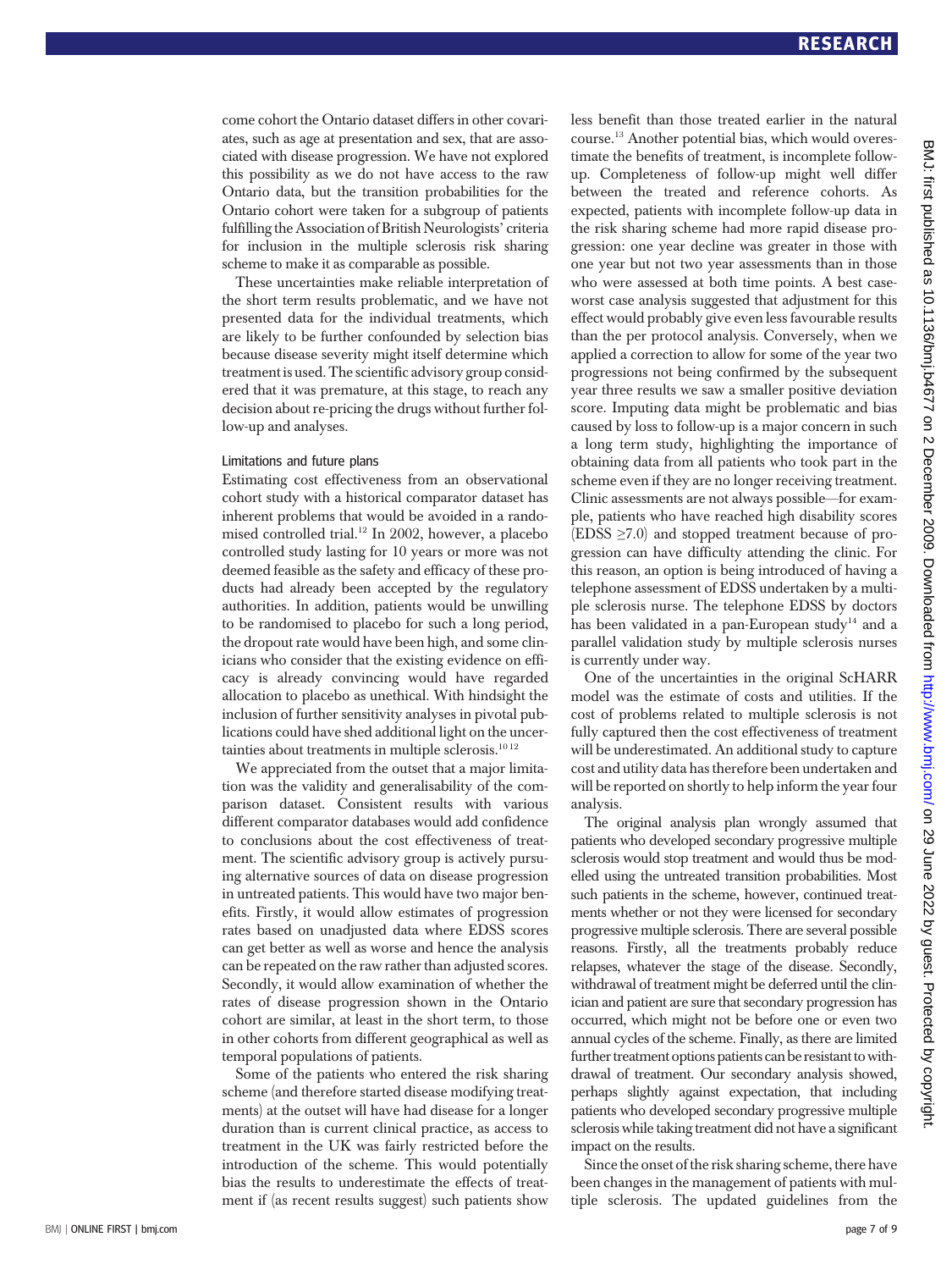come cohort the Ontario dataset differs in other covariates, such as age at presentation and sex, that are associated with disease progression. We have not explored this possibility as we do not have access to the raw Ontario data, but the transition probabilities for the Ontario cohort were taken for a subgroup of patients fulfilling the Association of British Neurologists' criteria for inclusion in the multiple sclerosis risk sharing scheme to make it as comparable as possible.

These uncertainties make reliable interpretation of the short term results problematic, and we have not presented data for the individual treatments, which are likely to be further confounded by selection bias because disease severity might itself determine which treatment is used. The scientific advisory group considered that it was premature, at this stage, to reach any decision about re-pricing the drugs without further follow-up and analyses.

### Limitations and future plans

Estimating cost effectiveness from an observational cohort study with a historical comparator dataset has inherent problems that would be avoided in a randomised controlled trial.<sup>12</sup> In 2002, however, a placebo controlled study lasting for 10 years or more was not deemed feasible as the safety and efficacy of these products had already been accepted by the regulatory authorities. In addition, patients would be unwilling to be randomised to placebo for such a long period, the dropout rate would have been high, and some clinicians who consider that the existing evidence on efficacy is already convincing would have regarded allocation to placebo as unethical. With hindsight the inclusion of further sensitivity analyses in pivotal publications could have shed additional light on the uncertainties about treatments in multiple sclerosis.<sup>1012</sup>

We appreciated from the outset that a major limitation was the validity and generalisability of the comparison dataset. Consistent results with various different comparator databases would add confidence to conclusions about the cost effectiveness of treatment. The scientific advisory group is actively pursuing alternative sources of data on disease progression in untreated patients. This would have two major benefits. Firstly, it would allow estimates of progression rates based on unadjusted data where EDSS scores can get better as well as worse and hence the analysis can be repeated on the raw rather than adjusted scores. Secondly, it would allow examination of whether the rates of disease progression shown in the Ontario cohort are similar, at least in the short term, to those in other cohorts from different geographical as well as temporal populations of patients.

Some of the patients who entered the risk sharing scheme (and therefore started disease modifying treatments) at the outset will have had disease for a longer duration than is current clinical practice, as access to treatment in the UK was fairly restricted before the introduction of the scheme. This would potentially bias the results to underestimate the effects of treatment if (as recent results suggest) such patients show less benefit than those treated earlier in the natural course.13 Another potential bias, which would overestimate the benefits of treatment, is incomplete followup. Completeness of follow-up might well differ between the treated and reference cohorts. As expected, patients with incomplete follow-up data in the risk sharing scheme had more rapid disease progression: one year decline was greater in those with one year but not two year assessments than in those who were assessed at both time points. A best caseworst case analysis suggested that adjustment for this effect would probably give even less favourable results than the per protocol analysis. Conversely, when we applied a correction to allow for some of the year two progressions not being confirmed by the subsequent year three results we saw a smaller positive deviation score. Imputing data might be problematic and bias caused by loss to follow-up is a major concern in such a long term study, highlighting the importance of obtaining data from all patients who took part in the scheme even if they are no longer receiving treatment. Clinic assessments are not always possible—for example, patients who have reached high disability scores  $(EDSS \geq 7.0)$  and stopped treatment because of progression can have difficulty attending the clinic. For this reason, an option is being introduced of having a telephone assessment of EDSS undertaken by a multiple sclerosis nurse. The telephone EDSS by doctors has been validated in a pan-European study<sup>14</sup> and a parallel validation study by multiple sclerosis nurses is currently under way.

One of the uncertainties in the original ScHARR model was the estimate of costs and utilities. If the cost of problems related to multiple sclerosis is not fully captured then the cost effectiveness of treatment will be underestimated. An additional study to capture cost and utility data has therefore been undertaken and will be reported on shortly to help inform the year four analysis.

The original analysis plan wrongly assumed that patients who developed secondary progressive multiple sclerosis would stop treatment and would thus be modelled using the untreated transition probabilities. Most such patients in the scheme, however, continued treatments whether or not they were licensed for secondary progressive multiple sclerosis. There are several possible reasons. Firstly, all the treatments probably reduce relapses, whatever the stage of the disease. Secondly, withdrawal of treatment might be deferred until the clinician and patient are sure that secondary progression has occurred, which might not be before one or even two annual cycles of the scheme. Finally, as there are limited further treatment options patients can be resistant to withdrawal of treatment. Our secondary analysis showed, perhaps slightly against expectation, that including patients who developed secondary progressive multiple sclerosis while taking treatment did not have a significant impact on the results.

Since the onset of the risk sharing scheme, there have been changes in the management of patients with multiple sclerosis. The updated guidelines from the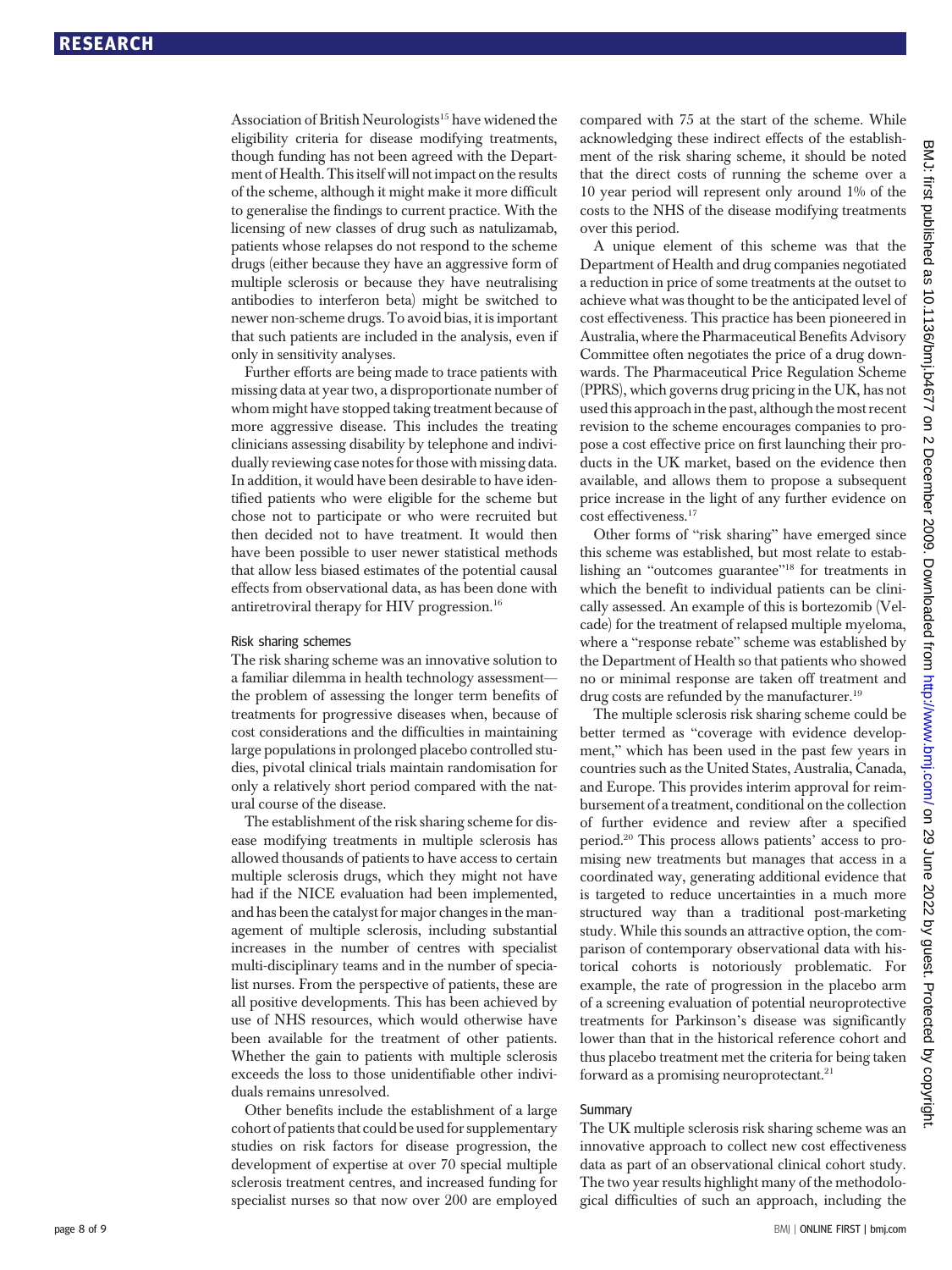Association of British Neurologists<sup>15</sup> have widened the eligibility criteria for disease modifying treatments, though funding has not been agreed with the Department of Health. This itself will not impact on the results of the scheme, although it might make it more difficult to generalise the findings to current practice. With the licensing of new classes of drug such as natulizamab, patients whose relapses do not respond to the scheme drugs (either because they have an aggressive form of multiple sclerosis or because they have neutralising antibodies to interferon beta) might be switched to newer non-scheme drugs. To avoid bias, it is important that such patients are included in the analysis, even if only in sensitivity analyses.

Further efforts are being made to trace patients with missing data at year two, a disproportionate number of whom might have stopped taking treatment because of more aggressive disease. This includes the treating clinicians assessing disability by telephone and individually reviewing case notes for those with missing data. In addition, it would have been desirable to have identified patients who were eligible for the scheme but chose not to participate or who were recruited but then decided not to have treatment. It would then have been possible to user newer statistical methods that allow less biased estimates of the potential causal effects from observational data, as has been done with antiretroviral therapy for HIV progression.<sup>16</sup>

### Risk sharing schemes

The risk sharing scheme was an innovative solution to a familiar dilemma in health technology assessment the problem of assessing the longer term benefits of treatments for progressive diseases when, because of cost considerations and the difficulties in maintaining large populations in prolonged placebo controlled studies, pivotal clinical trials maintain randomisation for only a relatively short period compared with the natural course of the disease.

The establishment of the risk sharing scheme for disease modifying treatments in multiple sclerosis has allowed thousands of patients to have access to certain multiple sclerosis drugs, which they might not have had if the NICE evaluation had been implemented, and has been the catalyst for major changes in the management of multiple sclerosis, including substantial increases in the number of centres with specialist multi-disciplinary teams and in the number of specialist nurses. From the perspective of patients, these are all positive developments. This has been achieved by use of NHS resources, which would otherwise have been available for the treatment of other patients. Whether the gain to patients with multiple sclerosis exceeds the loss to those unidentifiable other individuals remains unresolved.

Other benefits include the establishment of a large cohort of patients that could be used for supplementary studies on risk factors for disease progression, the development of expertise at over 70 special multiple sclerosis treatment centres, and increased funding for specialist nurses so that now over 200 are employed compared with 75 at the start of the scheme. While acknowledging these indirect effects of the establishment of the risk sharing scheme, it should be noted that the direct costs of running the scheme over a 10 year period will represent only around 1% of the costs to the NHS of the disease modifying treatments over this period.

A unique element of this scheme was that the Department of Health and drug companies negotiated a reduction in price of some treatments at the outset to achieve what was thought to be the anticipated level of cost effectiveness. This practice has been pioneered in Australia, where the Pharmaceutical Benefits Advisory Committee often negotiates the price of a drug downwards. The Pharmaceutical Price Regulation Scheme (PPRS), which governs drug pricing in the UK, has not used this approach in the past, although the most recent revision to the scheme encourages companies to propose a cost effective price on first launching their products in the UK market, based on the evidence then available, and allows them to propose a subsequent price increase in the light of any further evidence on cost effectiveness.17

Other forms of "risk sharing" have emerged since this scheme was established, but most relate to establishing an "outcomes guarantee"<sup>18</sup> for treatments in which the benefit to individual patients can be clinically assessed. An example of this is bortezomib (Velcade) for the treatment of relapsed multiple myeloma, where a "response rebate" scheme was established by the Department of Health so that patients who showed no or minimal response are taken off treatment and drug costs are refunded by the manufacturer.<sup>19</sup>

The multiple sclerosis risk sharing scheme could be better termed as "coverage with evidence development," which has been used in the past few years in countries such as the United States, Australia, Canada, and Europe. This provides interim approval for reimbursement of a treatment, conditional on the collection of further evidence and review after a specified period.20 This process allows patients' access to promising new treatments but manages that access in a coordinated way, generating additional evidence that is targeted to reduce uncertainties in a much more structured way than a traditional post-marketing study. While this sounds an attractive option, the comparison of contemporary observational data with historical cohorts is notoriously problematic. For example, the rate of progression in the placebo arm of a screening evaluation of potential neuroprotective treatments for Parkinson's disease was significantly lower than that in the historical reference cohort and thus placebo treatment met the criteria for being taken forward as a promising neuroprotectant.<sup>21</sup>

### **Summary**

The UK multiple sclerosis risk sharing scheme was an innovative approach to collect new cost effectiveness data as part of an observational clinical cohort study. The two year results highlight many of the methodological difficulties of such an approach, including the